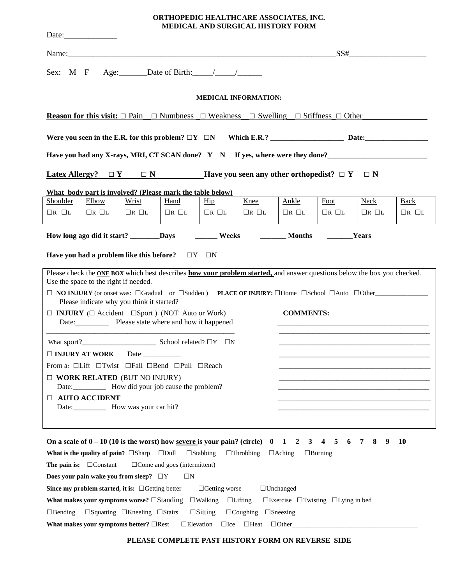| ORTHOPEDIC HEALTHCARE ASSOCIATES, INC.   |
|------------------------------------------|
| <b>MEDICAL AND SURGICAL HISTORY FORM</b> |

|                                                                                                                                                                      |                                                                                                         |                   |                                                       |                               | Name:                                                                                                                                                                                                                                                           |                                                              |                               | SS#               |                   |
|----------------------------------------------------------------------------------------------------------------------------------------------------------------------|---------------------------------------------------------------------------------------------------------|-------------------|-------------------------------------------------------|-------------------------------|-----------------------------------------------------------------------------------------------------------------------------------------------------------------------------------------------------------------------------------------------------------------|--------------------------------------------------------------|-------------------------------|-------------------|-------------------|
|                                                                                                                                                                      | Sex: M F Age: Date of Birth: $/$                                                                        |                   |                                                       |                               |                                                                                                                                                                                                                                                                 |                                                              |                               |                   |                   |
|                                                                                                                                                                      |                                                                                                         |                   |                                                       |                               | <b>MEDICAL INFORMATION:</b>                                                                                                                                                                                                                                     |                                                              |                               |                   |                   |
|                                                                                                                                                                      |                                                                                                         |                   |                                                       |                               | <b>Reason for this visit:</b> $\Box$ Pain $\Box$ Numbness $\Box$ Weakness $\Box$ Swelling $\Box$ Stiffness $\Box$ Other                                                                                                                                         |                                                              |                               |                   |                   |
|                                                                                                                                                                      |                                                                                                         |                   |                                                       |                               |                                                                                                                                                                                                                                                                 |                                                              |                               |                   |                   |
|                                                                                                                                                                      |                                                                                                         |                   |                                                       |                               | Have you had any X-rays, MRI, CT SCAN done? Y N If yes, where were they done?                                                                                                                                                                                   |                                                              |                               |                   |                   |
|                                                                                                                                                                      |                                                                                                         |                   |                                                       |                               | <b>Latex Allergy?</b> $\Box Y$ $\Box N$ <b>Have you seen any other orthopedist?</b> $\Box Y$ $\Box N$                                                                                                                                                           |                                                              |                               |                   |                   |
|                                                                                                                                                                      | What body part is involved? (Please mark the table below)                                               |                   |                                                       |                               |                                                                                                                                                                                                                                                                 |                                                              |                               |                   |                   |
| Shoulder                                                                                                                                                             | Elbow                                                                                                   | Wrist             | Hand                                                  | $\overline{\text{Hip}}$       | Knee                                                                                                                                                                                                                                                            | Ankle                                                        | Foot                          | <b>Neck</b>       | <b>Back</b>       |
| $\Box R$ $\Box L$                                                                                                                                                    | $\Box R$ $\Box L$                                                                                       | $\Box R$ $\Box L$ | $\Box R$ $\Box L$                                     | $\Box R$ $\Box L$             | $\Box R$ $\Box L$                                                                                                                                                                                                                                               | $\Box R$ $\Box L$                                            | $\Box R$ $\Box L$             | $\Box R$ $\Box L$ | $\Box R$ $\Box L$ |
|                                                                                                                                                                      | How long ago did it start? _________Days                                                                |                   |                                                       |                               | <b>Example 1.1 Weeks CONSTRAINING MONTHS CONSTRAINS CONSTRAINS CONSTRAINS</b>                                                                                                                                                                                   |                                                              |                               |                   |                   |
|                                                                                                                                                                      | Have you had a problem like this before? $\square Y \square N$<br>Use the space to the right if needed. |                   |                                                       |                               | Please check the ONE BOX which best describes how your problem started, and answer questions below the box you checked.<br>$\Box$ NO INJURY (or onset was: $\Box$ Gradual or $\Box$ Sudden) PLACE OF INJURY: $\Box$ Home $\Box$ School $\Box$ Auto $\Box$ Other |                                                              |                               |                   |                   |
| Please indicate why you think it started?<br>$\Box$ <b>INJURY</b> ( $\Box$ Accident $\Box$ Sport) (NOT Auto or Work)<br>Date: Please state where and how it happened |                                                                                                         |                   |                                                       |                               | <b>COMMENTS:</b>                                                                                                                                                                                                                                                |                                                              |                               |                   |                   |
|                                                                                                                                                                      |                                                                                                         |                   |                                                       |                               |                                                                                                                                                                                                                                                                 |                                                              |                               |                   |                   |
|                                                                                                                                                                      | $\Box$ INJURY AT WORK                                                                                   |                   |                                                       |                               |                                                                                                                                                                                                                                                                 |                                                              |                               |                   |                   |
|                                                                                                                                                                      | From a: □Lift □Twist □Fall □Bend □Pull □Reach                                                           |                   |                                                       |                               |                                                                                                                                                                                                                                                                 |                                                              |                               |                   |                   |
| $\Box$ WORK RELATED (BUT NO INJURY)<br>Date: ________________ How did your job cause the problem?                                                                    |                                                                                                         |                   |                                                       |                               |                                                                                                                                                                                                                                                                 |                                                              |                               |                   |                   |
| <b>II AUTO ACCIDENT</b>                                                                                                                                              |                                                                                                         |                   |                                                       |                               |                                                                                                                                                                                                                                                                 |                                                              |                               |                   |                   |
|                                                                                                                                                                      | What is the quality of pain? $\square$ Sharp<br>The pain is: $\Box$ Constant                            |                   | $\square$ Dull<br>$\Box$ Come and goes (intermittent) | $\Box$ Stabbing               | On a scale of $0 - 10$ (10 is the worst) how severe is your pain? (circle) 0<br>$\Box$ Throbbing                                                                                                                                                                | 1<br>$\overline{2}$<br>3<br>$\Box$ Aching                    | 5<br>4<br>6<br>$\Box$ Burning | $\tau$<br>8<br>9  | <b>10</b>         |
| Does your pain wake you from sleep? $\Box Y$<br>$\Box N$                                                                                                             |                                                                                                         |                   |                                                       |                               |                                                                                                                                                                                                                                                                 |                                                              |                               |                   |                   |
|                                                                                                                                                                      | Since my problem started, it is: $\Box$ Getting better                                                  |                   |                                                       | $\Box$ Getting worse          |                                                                                                                                                                                                                                                                 | $\Box$ Unchanged                                             |                               |                   |                   |
|                                                                                                                                                                      | What makes your symptoms worse? $\square$ Standing                                                      |                   |                                                       | $\Box$ Walking $\Box$ Lifting |                                                                                                                                                                                                                                                                 | $\square$ Exercise $\square$ Twisting $\square$ Lying in bed |                               |                   |                   |

**□**Bending **□**Squatting **□**Kneeling **□**Stairs **□**Sitting **□**Coughing **□**Sneezing

| What makes your symptoms better? $\Box$ Rest $\Box$ Elevation $\Box$ Ice $\Box$ Heat $\Box$ Other |  |  |
|---------------------------------------------------------------------------------------------------|--|--|
|                                                                                                   |  |  |

## **PLEASE COMPLETE PAST HISTORY FORM ON REVERSE SIDE**